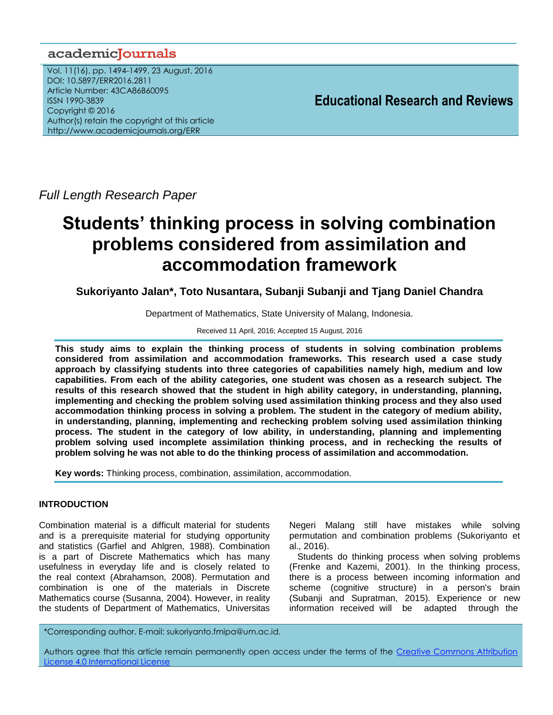# academicJournals

Vol. 11(16), pp. 1494-1499, 23 August, 2016 DOI: 10.5897/ERR2016.2811 Article Number: 43CA86B60095 ISSN 1990-3839 Copyright © 2016 Author(s) retain the copyright of this article http://www.academicjournals.org/ERR

**Educational Research and Reviews**

*Full Length Research Paper*

# **Students' thinking process in solving combination problems considered from assimilation and accommodation framework**

**Sukoriyanto Jalan\*, Toto Nusantara, Subanji Subanji and Tjang Daniel Chandra**

Department of Mathematics, State University of Malang, Indonesia.

Received 11 April, 2016; Accepted 15 August, 2016

**This study aims to explain the thinking process of students in solving combination problems considered from assimilation and accommodation frameworks. This research used a case study approach by classifying students into three categories of capabilities namely high, medium and low capabilities. From each of the ability categories, one student was chosen as a research subject. The results of this research showed that the student in high ability category, in understanding, planning, implementing and checking the problem solving used assimilation thinking process and they also used accommodation thinking process in solving a problem. The student in the category of medium ability, in understanding, planning, implementing and rechecking problem solving used assimilation thinking process. The student in the category of low ability, in understanding, planning and implementing problem solving used incomplete assimilation thinking process, and in rechecking the results of problem solving he was not able to do the thinking process of assimilation and accommodation.**

**Key words:** Thinking process, combination, assimilation, accommodation.

# **INTRODUCTION**

Combination material is a difficult material for students and is a prerequisite material for studying opportunity and statistics (Garfiel and Ahlgren, 1988). Combination is a part of Discrete Mathematics which has many usefulness in everyday life and is closely related to the real context (Abrahamson, 2008). Permutation and combination is one of the materials in Discrete Mathematics course (Susanna, 2004). However, in reality the students of Department of Mathematics, Universitas

Negeri Malang still have mistakes while solving permutation and combination problems (Sukoriyanto et al., 2016).

Students do thinking process when solving problems (Frenke and Kazemi, 2001). In the thinking process, there is a process between incoming information and scheme (cognitive structure) in a person's brain (Subanji and Supratman, 2015). Experience or new information received will be adapted through the

\*Corresponding author. E-mail: sukoriyanto.fmipa@um.ac.id.

Authors agree that this article remain permanently open access under the terms of the Creative Commons Attribution [License 4.0 International License](file://192.168.1.24/reading/Arts%20and%20Education/ERR/2014/sept/read/Correction%20Pdf%201/ERR-17.04.14-1816/Publication/Creative%20Co)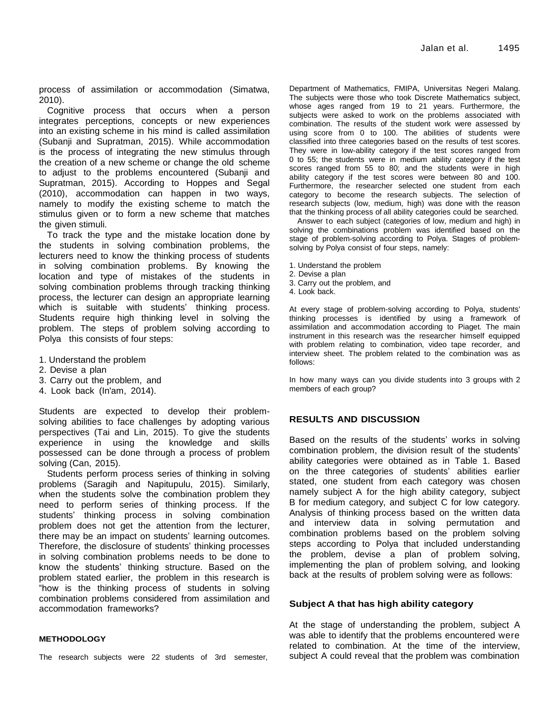process of assimilation or accommodation (Simatwa, 2010).

Cognitive process that occurs when a person integrates perceptions, concepts or new experiences into an existing scheme in his mind is called assimilation (Subanji and Supratman, 2015). While accommodation is the process of integrating the new stimulus through the creation of a new scheme or change the old scheme to adjust to the problems encountered (Subanji and Supratman, 2015). According to Hoppes and Segal (2010), accommodation can happen in two ways, namely to modify the existing scheme to match the stimulus given or to form a new scheme that matches the given stimuli.

To track the type and the mistake location done by the students in solving combination problems, the lecturers need to know the thinking process of students in solving combination problems. By knowing the location and type of mistakes of the students in solving combination problems through tracking thinking process, the lecturer can design an appropriate learning which is suitable with students' thinking process. Students require high thinking level in solving the problem. The steps of problem solving according to Polya this consists of four steps:

- 1. Understand the problem
- 2. Devise a plan
- 3. Carry out the problem, and
- 4. Look back (In'am, 2014).

Students are expected to develop their problemsolving abilities to face challenges by adopting various perspectives (Tai and Lin, 2015). To give the students experience in using the knowledge and skills possessed can be done through a process of problem solving (Can, 2015).

Students perform process series of thinking in solving problems (Saragih and Napitupulu, 2015). Similarly, when the students solve the combination problem they need to perform series of thinking process. If the students' thinking process in solving combination problem does not get the attention from the lecturer, there may be an impact on students' learning outcomes. Therefore, the disclosure of students' thinking processes in solving combination problems needs to be done to know the students' thinking structure. Based on the problem stated earlier, the problem in this research is "how is the thinking process of students in solving combination problems considered from assimilation and accommodation frameworks?

#### **METHODOLOGY**

The research subjects were 22 students of 3rd semester,

Department of Mathematics, FMIPA, Universitas Negeri Malang. The subjects were those who took Discrete Mathematics subject, whose ages ranged from 19 to 21 years. Furthermore, the subjects were asked to work on the problems associated with combination. The results of the student work were assessed by using score from 0 to 100. The abilities of students were classified into three categories based on the results of test scores. They were in low-ability category if the test scores ranged from 0 to 55; the students were in medium ability category if the test scores ranged from 55 to 80; and the students were in high ability category if the test scores were between 80 and 100. Furthermore, the researcher selected one student from each category to become the research subjects. The selection of research subjects (low, medium, high) was done with the reason that the thinking process of all ability categories could be searched.

Answer to each subject (categories of low, medium and high) in solving the combinations problem was identified based on the stage of problem-solving according to Polya. Stages of problemsolving by Polya consist of four steps, namely:

- 1. Understand the problem
- 2. Devise a plan
- 3. Carry out the problem, and
- 4. Look back.

At every stage of problem-solving according to Polya, students' thinking processes is identified by using a framework of assimilation and accommodation according to Piaget. The main instrument in this research was the researcher himself equipped with problem relating to combination, video tape recorder, and interview sheet. The problem related to the combination was as follows:

In how many ways can you divide students into 3 groups with 2 members of each group?

### **RESULTS AND DISCUSSION**

Based on the results of the students' works in solving combination problem, the division result of the students' ability categories were obtained as in Table 1. Based on the three categories of students' abilities earlier stated, one student from each category was chosen namely subject A for the high ability category, subject B for medium category, and subject C for low category. Analysis of thinking process based on the written data and interview data in solving permutation and combination problems based on the problem solving steps according to Polya that included understanding the problem, devise a plan of problem solving, implementing the plan of problem solving, and looking back at the results of problem solving were as follows:

#### **Subject A that has high ability category**

At the stage of understanding the problem, subject A was able to identify that the problems encountered were related to combination. At the time of the interview, subject A could reveal that the problem was combination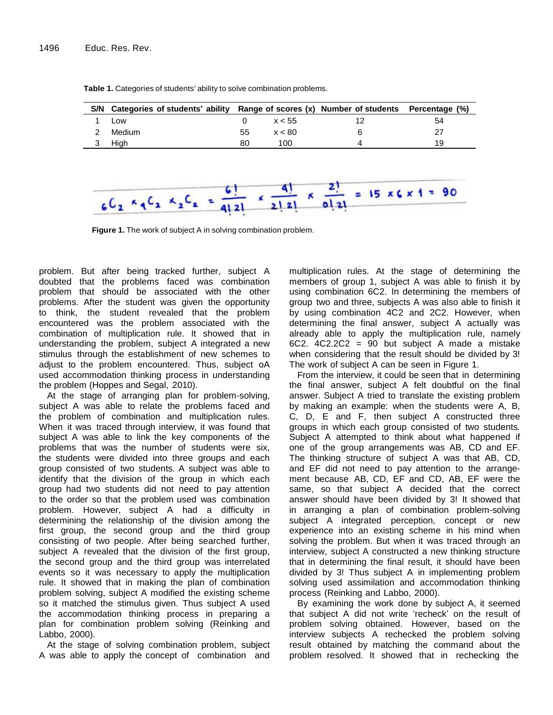| S/N Categories of students' ability Range of scores (x) Number of students Percentage (%) |    |        |    |  |
|-------------------------------------------------------------------------------------------|----|--------|----|--|
| Low                                                                                       |    | x < 55 | 54 |  |
| Medium                                                                                    | 55 | x < 80 | 27 |  |
| Hiah                                                                                      | 80 | 100    | 19 |  |

**Table 1.** Categories of students' ability to solve combination problems.



**Figure 1.** The work of subject A in solving combination problem.

problem. But after being tracked further, subject A doubted that the problems faced was combination problem that should be associated with the other problems. After the student was given the opportunity to think, the student revealed that the problem encountered was the problem associated with the combination of multiplication rule. It showed that in understanding the problem, subject A integrated a new stimulus through the establishment of new schemes to adjust to the problem encountered. Thus, subject oA used accommodation thinking process in understanding the problem (Hoppes and Segal, 2010).

At the stage of arranging plan for problem-solving, subject A was able to relate the problems faced and the problem of combination and multiplication rules. When it was traced through interview, it was found that subject A was able to link the key components of the problems that was the number of students were six, the students were divided into three groups and each group consisted of two students. A subject was able to identify that the division of the group in which each group had two students did not need to pay attention to the order so that the problem used was combination problem. However, subject A had a difficulty in determining the relationship of the division among the first group, the second group and the third group consisting of two people. After being searched further, subject A revealed that the division of the first group, the second group and the third group was interrelated events so it was necessary to apply the multiplication rule. It showed that in making the plan of combination problem solving, subject A modified the existing scheme so it matched the stimulus given. Thus subject A used the accommodation thinking process in preparing a plan for combination problem solving (Reinking and Labbo, 2000).

At the stage of solving combination problem, subject A was able to apply the concept of combination and multiplication rules. At the stage of determining the members of group 1, subject A was able to finish it by using combination 6C2. In determining the members of group two and three, subjects A was also able to finish it by using combination 4C2 and 2C2. However, when determining the final answer, subject A actually was already able to apply the multiplication rule, namely 6C2. 4C2.2C2 = 90 but subject A made a mistake when considering that the result should be divided by 3! The work of subject A can be seen in Figure 1.

From the interview, it could be seen that in determining the final answer, subject A felt doubtful on the final answer. Subject A tried to translate the existing problem by making an example: when the students were A, B, C, D, E and F, then subject A constructed three groups in which each group consisted of two students. Subject A attempted to think about what happened if one of the group arrangements was AB, CD and EF. The thinking structure of subject A was that AB, CD, and EF did not need to pay attention to the arrangement because AB, CD, EF and CD, AB, EF were the same, so that subject A decided that the correct answer should have been divided by 3! It showed that in arranging a plan of combination problem-solving subject A integrated perception, concept or new experience into an existing scheme in his mind when solving the problem. But when it was traced through an interview, subject A constructed a new thinking structure that in determining the final result, it should have been divided by 3! Thus subject A in implementing problem solving used assimilation and accommodation thinking process (Reinking and Labbo, 2000).

By examining the work done by subject A, it seemed that subject A did not write 'recheck' on the result of problem solving obtained. However, based on the interview subjects A rechecked the problem solving result obtained by matching the command about the problem resolved. It showed that in rechecking the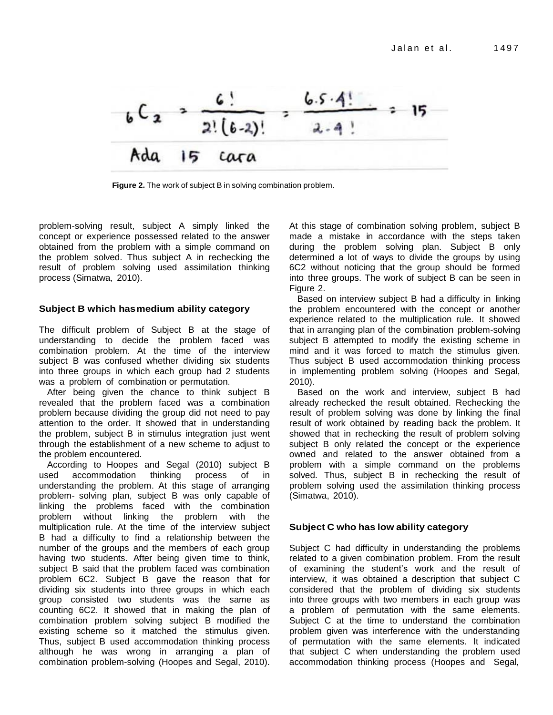

**Figure 2.** The work of subject B in solving combination problem.

problem-solving result, subject A simply linked the concept or experience possessed related to the answer obtained from the problem with a simple command on the problem solved. Thus subject A in rechecking the result of problem solving used assimilation thinking process (Simatwa, 2010).

## **Subject B which hasmedium ability category**

The difficult problem of Subject B at the stage of understanding to decide the problem faced was combination problem. At the time of the interview subject B was confused whether dividing six students into three groups in which each group had 2 students was a problem of combination or permutation.

After being given the chance to think subject B revealed that the problem faced was a combination problem because dividing the group did not need to pay attention to the order. It showed that in understanding the problem, subject B in stimulus integration just went through the establishment of a new scheme to adjust to the problem encountered.

According to Hoopes and Segal (2010) subject B used accommodation thinking process of in understanding the problem. At this stage of arranging problem- solving plan, subject B was only capable of linking the problems faced with the combination problem without linking the problem with the multiplication rule. At the time of the interview subject B had a difficulty to find a relationship between the number of the groups and the members of each group having two students. After being given time to think, subject B said that the problem faced was combination problem 6C2. Subject B gave the reason that for dividing six students into three groups in which each group consisted two students was the same as counting 6C2. It showed that in making the plan of combination problem solving subject B modified the existing scheme so it matched the stimulus given. Thus, subject B used accommodation thinking process although he was wrong in arranging a plan of combination problem-solving (Hoopes and Segal, 2010). At this stage of combination solving problem, subject B made a mistake in accordance with the steps taken during the problem solving plan. Subject B only determined a lot of ways to divide the groups by using 6C2 without noticing that the group should be formed into three groups. The work of subject B can be seen in Figure 2.

Based on interview subject B had a difficulty in linking the problem encountered with the concept or another experience related to the multiplication rule. It showed that in arranging plan of the combination problem-solving subject B attempted to modify the existing scheme in mind and it was forced to match the stimulus given. Thus subject B used accommodation thinking process in implementing problem solving (Hoopes and Segal, 2010).

Based on the work and interview, subject B had already rechecked the result obtained. Rechecking the result of problem solving was done by linking the final result of work obtained by reading back the problem. It showed that in rechecking the result of problem solving subject B only related the concept or the experience owned and related to the answer obtained from a problem with a simple command on the problems solved. Thus, subject B in rechecking the result of problem solving used the assimilation thinking process (Simatwa, 2010).

#### **Subject C who has low ability category**

Subject C had difficulty in understanding the problems related to a given combination problem. From the result of examining the student's work and the result of interview, it was obtained a description that subject C considered that the problem of dividing six students into three groups with two members in each group was a problem of permutation with the same elements. Subject C at the time to understand the combination problem given was interference with the understanding of permutation with the same elements. It indicated that subject C when understanding the problem used accommodation thinking process (Hoopes and Segal,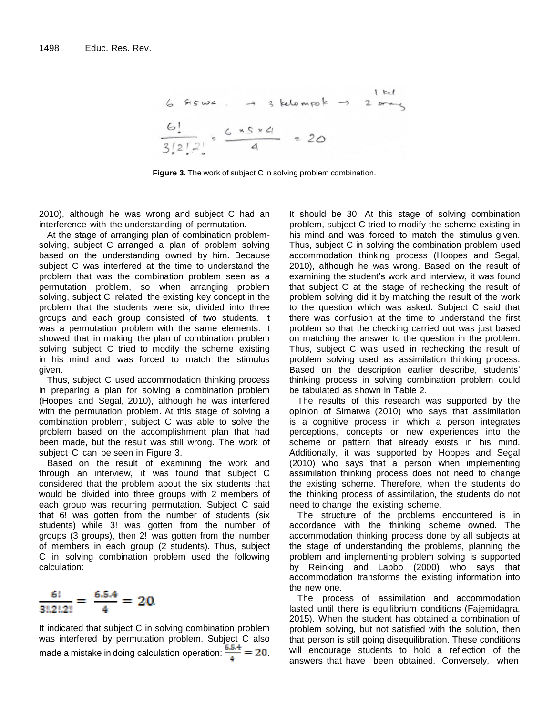$$
6 \text{Ssw2.} \rightarrow 3 \text{ kelompok} \rightarrow 2 \text{ or } 6!
$$
\n
$$
\frac{6!}{3!2!2!} = \frac{6 \times 5 \times 4}{4} = 20
$$

**Figure 3.** The work of subject C in solving problem combination.

2010), although he was wrong and subject C had an interference with the understanding of permutation.

At the stage of arranging plan of combination problemsolving, subject C arranged a plan of problem solving based on the understanding owned by him. Because subject C was interfered at the time to understand the problem that was the combination problem seen as a permutation problem, so when arranging problem solving, subject C related the existing key concept in the problem that the students were six, divided into three groups and each group consisted of two students. It was a permutation problem with the same elements. It showed that in making the plan of combination problem solving subject C tried to modify the scheme existing in his mind and was forced to match the stimulus given.

Thus, subject C used accommodation thinking process in preparing a plan for solving a combination problem (Hoopes and Segal, 2010), although he was interfered with the permutation problem. At this stage of solving a combination problem, subject C was able to solve the problem based on the accomplishment plan that had been made, but the result was still wrong. The work of subject C can be seen in Figure 3.

Based on the result of examining the work and through an interview, it was found that subject C considered that the problem about the six students that would be divided into three groups with 2 members of each group was recurring permutation. Subject C said that 6! was gotten from the number of students (six students) while 3! was gotten from the number of groups (3 groups), then 2! was gotten from the number of members in each group (2 students). Thus, subject C in solving combination problem used the following calculation:



It indicated that subject C in solving combination problem was interfered by permutation problem. Subject C also made a mistake in doing calculation operation:  $\frac{6.5.4}{4} = 20$ .

It should be 30. At this stage of solving combination problem, subject C tried to modify the scheme existing in his mind and was forced to match the stimulus given. Thus, subject C in solving the combination problem used accommodation thinking process (Hoopes and Segal, 2010), although he was wrong. Based on the result of examining the student's work and interview, it was found that subject C at the stage of rechecking the result of problem solving did it by matching the result of the work to the question which was asked. Subject C said that there was confusion at the time to understand the first problem so that the checking carried out was just based on matching the answer to the question in the problem. Thus, subject C was used in rechecking the result of problem solving used as assimilation thinking process. Based on the description earlier describe, students' thinking process in solving combination problem could be tabulated as shown in Table 2.

The results of this research was supported by the opinion of Simatwa (2010) who says that assimilation is a cognitive process in which a person integrates perceptions, concepts or new experiences into the scheme or pattern that already exists in his mind. Additionally, it was supported by Hoppes and Segal (2010) who says that a person when implementing assimilation thinking process does not need to change the existing scheme. Therefore, when the students do the thinking process of assimilation, the students do not need to change the existing scheme.

The structure of the problems encountered is in accordance with the thinking scheme owned. The accommodation thinking process done by all subjects at the stage of understanding the problems, planning the problem and implementing problem solving is supported by Reinking and Labbo (2000) who says that accommodation transforms the existing information into the new one.

The process of assimilation and accommodation lasted until there is equilibrium conditions (Fajemidagra. 2015). When the student has obtained a combination of problem solving, but not satisfied with the solution, then that person is still going disequilibration. These conditions will encourage students to hold a reflection of the answers that have been obtained. Conversely, when